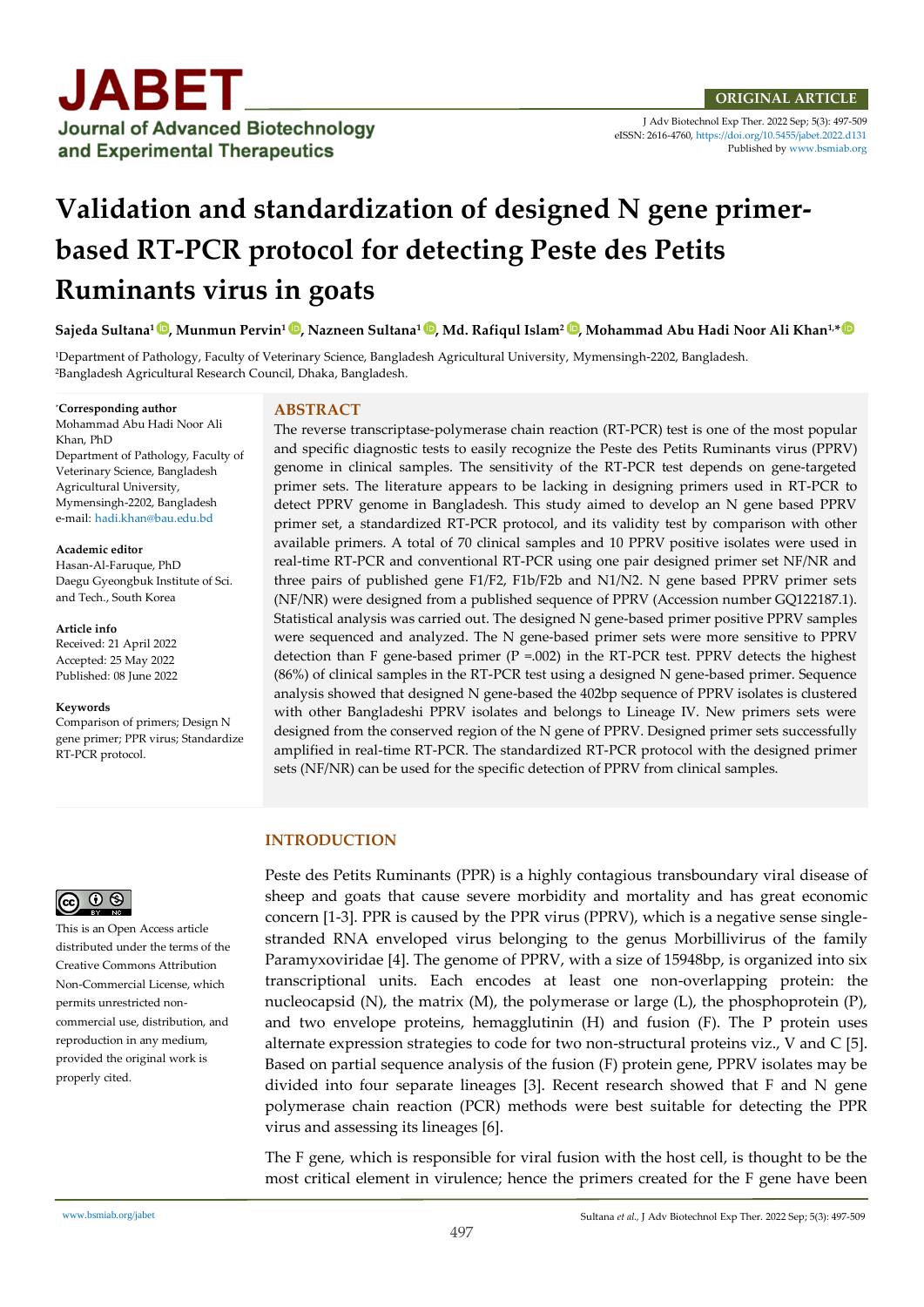

J Adv Biotechnol Exp Ther. 2022 Sep; 5(3): 497-509 eISSN: 2616-4760[, https://doi.org/10.5455/jabet.2022.d131](https://doi.org/10.5455/jabet.2022.d131)  Published b[y www.bsmiab.org](http://www.bsmiab.org/)

# **Validation and standardization of designed N gene primerbased RT-PCR protocol for detecting Peste des Petits Ruminants virus in goats**

**Sajeda Sultana1 [,](https://orcid.org/0000-0002-3902-9447) Munmun Pervin1 [,](https://orcid.org/0000-0002-5514-5798) Nazneen Sultana<sup>1</sup> [,](https://orcid.org/0000-0001-8060-4805) Md. Rafiqul Islam<sup>2</sup> [,](https://orcid.org/0000-0002-8852-265X) Mohammad Abu Hadi Noor Ali Khan1,\***

<sup>1</sup>Department of Pathology, Faculty of Veterinary Science, Bangladesh Agricultural University, Mymensingh-2202, Bangladesh. <sup>2</sup>Bangladesh Agricultural Research Council, Dhaka, Bangladesh.

\***Corresponding author** Mohammad Abu Hadi Noor Ali Khan, PhD Department of Pathology, Faculty of Veterinary Science, Bangladesh Agricultural University, Mymensingh-2202, Bangladesh e-mail: hadi.khan@bau.edu.bd

**Academic editor**  Hasan-Al-Faruque, PhD Daegu Gyeongbuk Institute of Sci. and Tech., South Korea

**Article info** Received: 21 April 2022 Accepted: 25 May 2022 Published: 08 June 2022

**Keywords**

Comparison of primers; Design N gene primer; PPR virus; Standardize RT-PCR protocol.

#### **ABSTRACT**

The reverse transcriptase-polymerase chain reaction (RT-PCR) test is one of the most popular and specific diagnostic tests to easily recognize the Peste des Petits Ruminants virus (PPRV) genome in clinical samples. The sensitivity of the RT-PCR test depends on gene-targeted primer sets. The literature appears to be lacking in designing primers used in RT-PCR to detect PPRV genome in Bangladesh. This study aimed to develop an N gene based PPRV primer set, a standardized RT-PCR protocol, and its validity test by comparison with other available primers. A total of 70 clinical samples and 10 PPRV positive isolates were used in real-time RT-PCR and conventional RT-PCR using one pair designed primer set NF/NR and three pairs of published gene F1/F2, F1b/F2b and N1/N2. N gene based PPRV primer sets (NF/NR) were designed from a published sequence of PPRV (Accession number GQ122187.1). Statistical analysis was carried out. The designed N gene-based primer positive PPRV samples were sequenced and analyzed. The N gene-based primer sets were more sensitive to PPRV detection than F gene-based primer  $(P = .002)$  in the RT-PCR test. PPRV detects the highest (86%) of clinical samples in the RT-PCR test using a designed N gene-based primer. Sequence analysis showed that designed N gene-based the 402bp sequence of PPRV isolates is clustered with other Bangladeshi PPRV isolates and belongs to Lineage IV. New primers sets were designed from the conserved region of the N gene of PPRV. Designed primer sets successfully amplified in real-time RT-PCR. The standardized RT-PCR protocol with the designed primer sets (NF/NR) can be used for the specific detection of PPRV from clinical samples.

## **INTRODUCTION**

Peste des Petits Ruminants (PPR) is a highly contagious transboundary viral disease of sheep and goats that cause severe morbidity and mortality and has great economic concern [1-3]. PPR is caused by the PPR virus (PPRV), which is a negative sense singlestranded RNA enveloped virus belonging to the genus Morbillivirus of the family Paramyxoviridae [4]. The genome of PPRV, with a size of 15948bp, is organized into six transcriptional units. Each encodes at least one non-overlapping protein: the nucleocapsid (N), the matrix  $(M)$ , the polymerase or large  $(L)$ , the phosphoprotein  $(P)$ , and two envelope proteins, hemagglutinin (H) and fusion (F). The P protein uses alternate expression strategies to code for two non-structural proteins viz., V and C [5]. Based on partial sequence analysis of the fusion (F) protein gene, PPRV isolates may be divided into four separate lineages [3]. Recent research showed that F and N gene polymerase chain reaction (PCR) methods were best suitable for detecting the PPR virus and assessing its lineages [6].

The F gene, which is responsible for viral fusion with the host cell, is thought to be the most critical element in virulence; hence the primers created for the F gene have been

# $\circledcirc$   $\circledcirc$

This is an Open Access article distributed under the terms of the Creative Commons Attribution Non-Commercial License, which permits unrestricted noncommercial use, distribution, and reproduction in any medium, provided the original work is properly cited.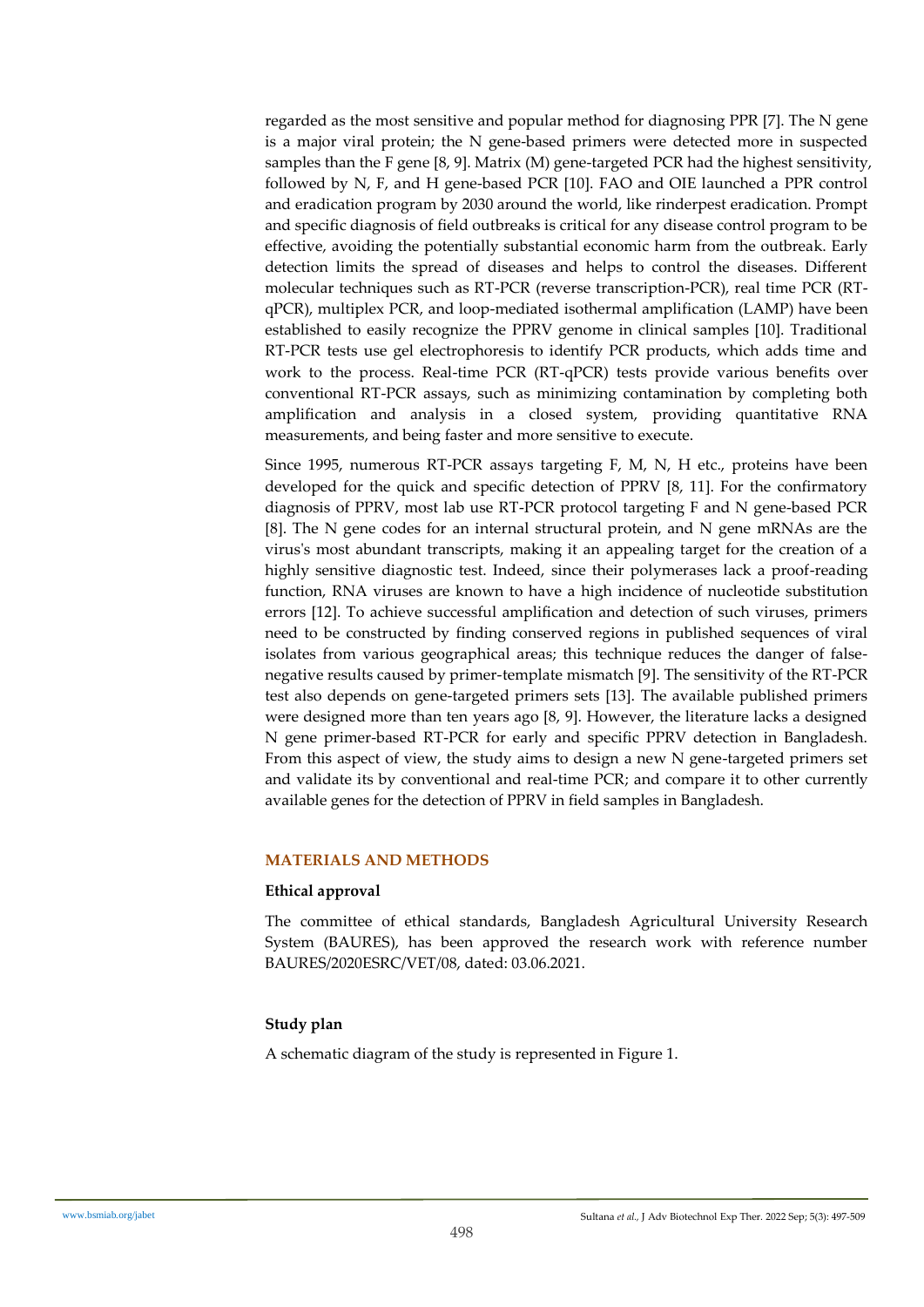regarded as the most sensitive and popular method for diagnosing PPR [7]. The N gene is a major viral protein; the N gene-based primers were detected more in suspected samples than the F gene  $[8, 9]$ . Matrix  $(M)$  gene-targeted PCR had the highest sensitivity, followed by N, F, and H gene-based PCR [10]. FAO and OIE launched a PPR control and eradication program by 2030 around the world, like rinderpest eradication. Prompt and specific diagnosis of field outbreaks is critical for any disease control program to be effective, avoiding the potentially substantial economic harm from the outbreak. Early detection limits the spread of diseases and helps to control the diseases. Different molecular techniques such as RT-PCR (reverse transcription-PCR), real time PCR (RTqPCR), multiplex PCR, and loop-mediated isothermal amplification (LAMP) have been established to easily recognize the PPRV genome in clinical samples [10]. Traditional RT-PCR tests use gel electrophoresis to identify PCR products, which adds time and work to the process. Real-time PCR (RT-qPCR) tests provide various benefits over conventional RT-PCR assays, such as minimizing contamination by completing both amplification and analysis in a closed system, providing quantitative RNA measurements, and being faster and more sensitive to execute.

Since 1995, numerous RT-PCR assays targeting F, M, N, H etc., proteins have been developed for the quick and specific detection of PPRV [8, 11]. For the confirmatory diagnosis of PPRV, most lab use RT-PCR protocol targeting F and N gene-based PCR [8]. The N gene codes for an internal structural protein, and N gene mRNAs are the virus's most abundant transcripts, making it an appealing target for the creation of a highly sensitive diagnostic test. Indeed, since their polymerases lack a proof-reading function, RNA viruses are known to have a high incidence of nucleotide substitution errors [12]. To achieve successful amplification and detection of such viruses, primers need to be constructed by finding conserved regions in published sequences of viral isolates from various geographical areas; this technique reduces the danger of falsenegative results caused by primer-template mismatch [9]. The sensitivity of the RT-PCR test also depends on gene-targeted primers sets [13]. The available published primers were designed more than ten years ago [8, 9]. However, the literature lacks a designed N gene primer-based RT-PCR for early and specific PPRV detection in Bangladesh. From this aspect of view, the study aims to design a new N gene-targeted primers set and validate its by conventional and real-time PCR; and compare it to other currently available genes for the detection of PPRV in field samples in Bangladesh.

## **MATERIALS AND METHODS**

## **Ethical approval**

The committee of ethical standards, Bangladesh Agricultural University Research System (BAURES), has been approved the research work with reference number BAURES/2020ESRC/VET/08, dated: 03.06.2021.

## **Study plan**

A schematic diagram of the study is represented in Figure 1.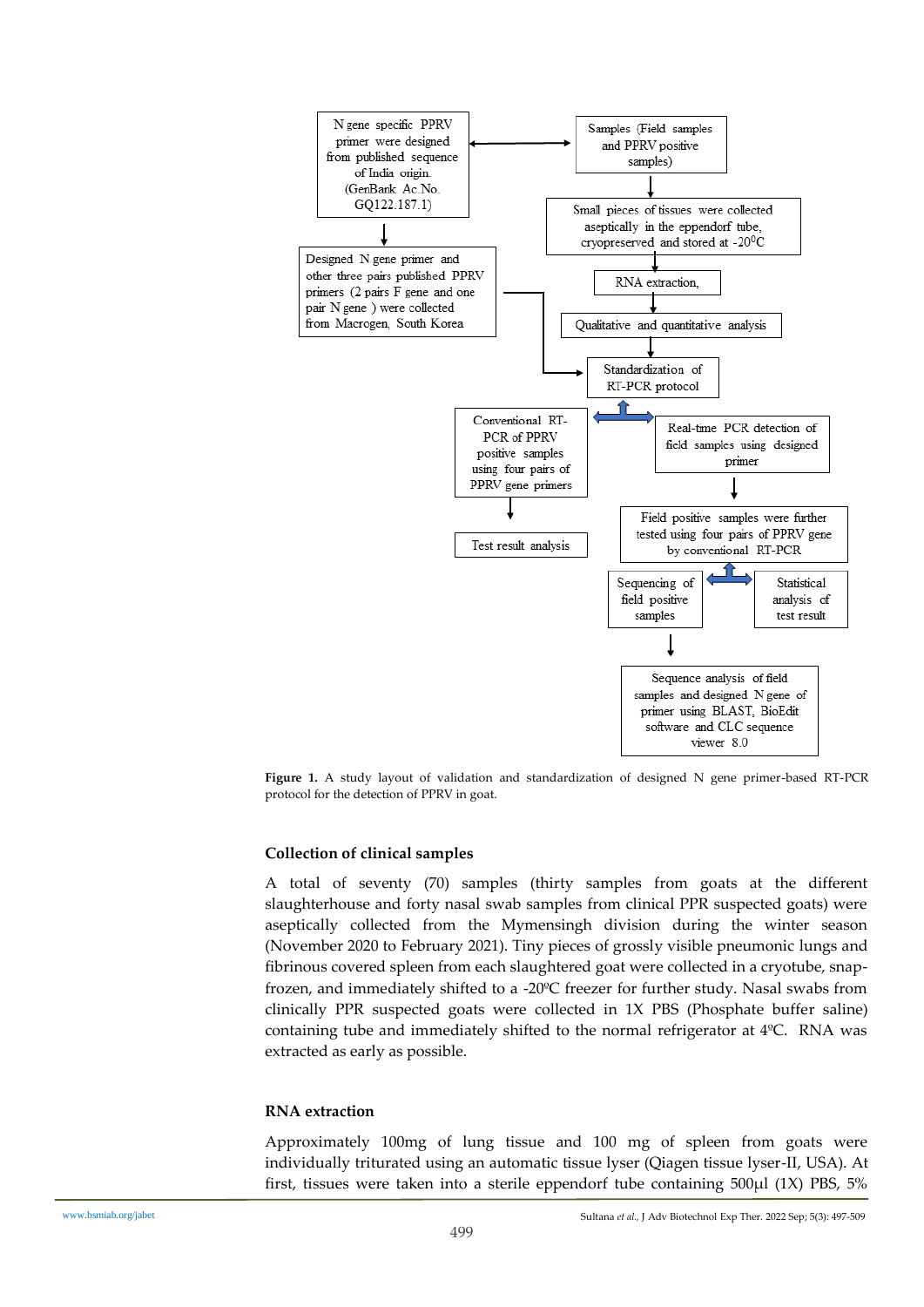

**Figure 1.** A study layout of validation and standardization of designed N gene primer-based RT-PCR protocol for the detection of PPRV in goat.

#### **Collection of clinical samples**

A total of seventy (70) samples (thirty samples from goats at the different slaughterhouse and forty nasal swab samples from clinical PPR suspected goats) were aseptically collected from the Mymensingh division during the winter season (November 2020 to February 2021). Tiny pieces of grossly visible pneumonic lungs and fibrinous covered spleen from each slaughtered goat were collected in a cryotube, snapfrozen, and immediately shifted to a -20ºC freezer for further study. Nasal swabs from clinically PPR suspected goats were collected in 1X PBS (Phosphate buffer saline) containing tube and immediately shifted to the normal refrigerator at 4ºC. RNA was extracted as early as possible.

#### **RNA extraction**

Approximately 100mg of lung tissue and 100 mg of spleen from goats were individually triturated using an automatic tissue lyser (Qiagen tissue lyser-II, USA). At first, tissues were taken into a sterile eppendorf tube containing 500µl (1X) PBS, 5%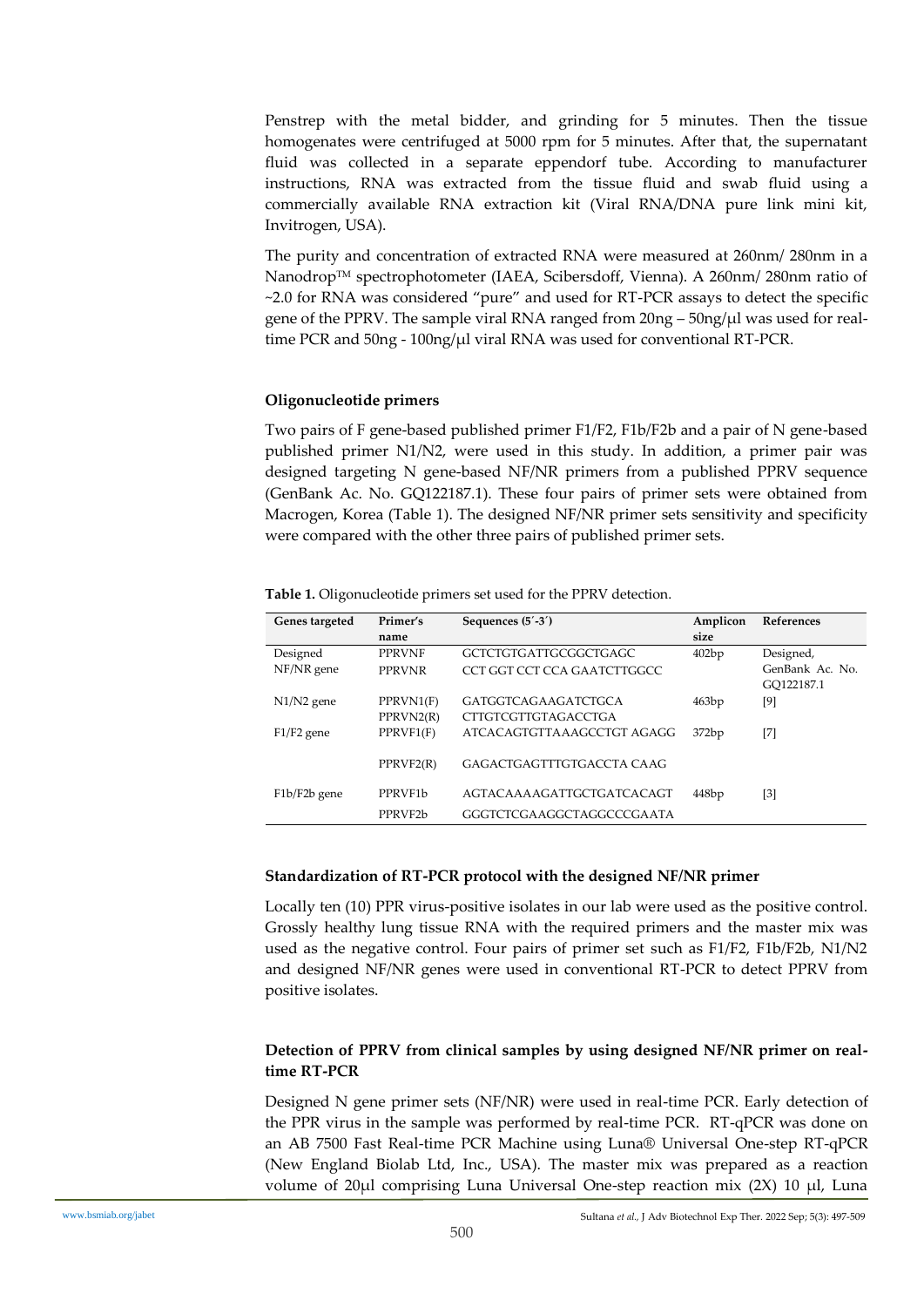Penstrep with the metal bidder, and grinding for 5 minutes. Then the tissue homogenates were centrifuged at 5000 rpm for 5 minutes. After that, the supernatant fluid was collected in a separate eppendorf tube. According to manufacturer instructions, RNA was extracted from the tissue fluid and swab fluid using a commercially available RNA extraction kit (Viral RNA/DNA pure link mini kit, Invitrogen, USA).

The purity and concentration of extracted RNA were measured at 260nm/ 280nm in a Nanodrop™ spectrophotometer (IAEA, Scibersdoff, Vienna). A 260nm/ 280nm ratio of ~2.0 for RNA was considered "pure" and used for RT-PCR assays to detect the specific gene of the PPRV. The sample viral RNA ranged from  $20ng - 50ng/µl$  was used for realtime PCR and 50ng - 100ng/µl viral RNA was used for conventional RT-PCR.

## **Oligonucleotide primers**

Two pairs of F gene-based published primer F1/F2, F1b/F2b and a pair of N gene-based published primer N1/N2, were used in this study. In addition, a primer pair was designed targeting N gene-based NF/NR primers from a published PPRV sequence (GenBank Ac. No. GQ122187.1). These four pairs of primer sets were obtained from Macrogen, Korea (Table 1). The designed NF/NR primer sets sensitivity and specificity were compared with the other three pairs of published primer sets.

**Table 1.** Oligonucleotide primers set used for the PPRV detection.

| Genes targeted | Primer's             | Sequences $(5' - 3')$       | Amplicon | References        |
|----------------|----------------------|-----------------------------|----------|-------------------|
|                | name                 |                             | size     |                   |
| Designed       | <b>PPRVNF</b>        | GCTCTGTGATTGCGGCTGAGC       | 402bp    | Designed,         |
| NF/NR gene     | <b>PPRVNR</b>        | CCT GGT CCT CCA GAATCTTGGCC |          | GenBank Ac. No.   |
|                |                      |                             |          | GO122187.1        |
| $N1/N2$ gene   | PPRVN1(F)            | <b>GATGGTCAGAAGATCTGCA</b>  | 463bp    | [9]               |
|                | PPRVN2(R)            | CTTGTCGTTGTAGACCTGA         |          |                   |
| $F1/F2$ gene   | PPRVF1(F)            | ATCACAGTGTTAAAGCCTGT AGAGG  | 372bp    | $[7]$             |
|                |                      |                             |          |                   |
|                | PPRVF2(R)            | GAGACTGAGTTTGTGACCTA CAAG   |          |                   |
|                |                      |                             |          |                   |
| F1b/F2b gene   | PPRVF <sub>1</sub> b | AGTACAAAAGATTGCTGATCACAGT   | 448bp    | $\lceil 3 \rceil$ |
|                | PPRVF <sub>2</sub> b | GGGTCTCGAAGGCTAGGCCCGAATA   |          |                   |
|                |                      |                             |          |                   |

## **Standardization of RT-PCR protocol with the designed NF/NR primer**

Locally ten (10) PPR virus-positive isolates in our lab were used as the positive control. Grossly healthy lung tissue RNA with the required primers and the master mix was used as the negative control. Four pairs of primer set such as F1/F2, F1b/F2b, N1/N2 and designed NF/NR genes were used in conventional RT-PCR to detect PPRV from positive isolates.

# **Detection of PPRV from clinical samples by using designed NF/NR primer on realtime RT-PCR**

Designed N gene primer sets (NF/NR) were used in real-time PCR. Early detection of the PPR virus in the sample was performed by real-time PCR. RT-qPCR was done on an AB 7500 Fast Real-time PCR Machine using Luna® Universal One-step RT-qPCR (New England Biolab Ltd, Inc., USA). The master mix was prepared as a reaction volume of 20 $\mu$ l comprising Luna Universal One-step reaction mix (2X) 10  $\mu$ l, Luna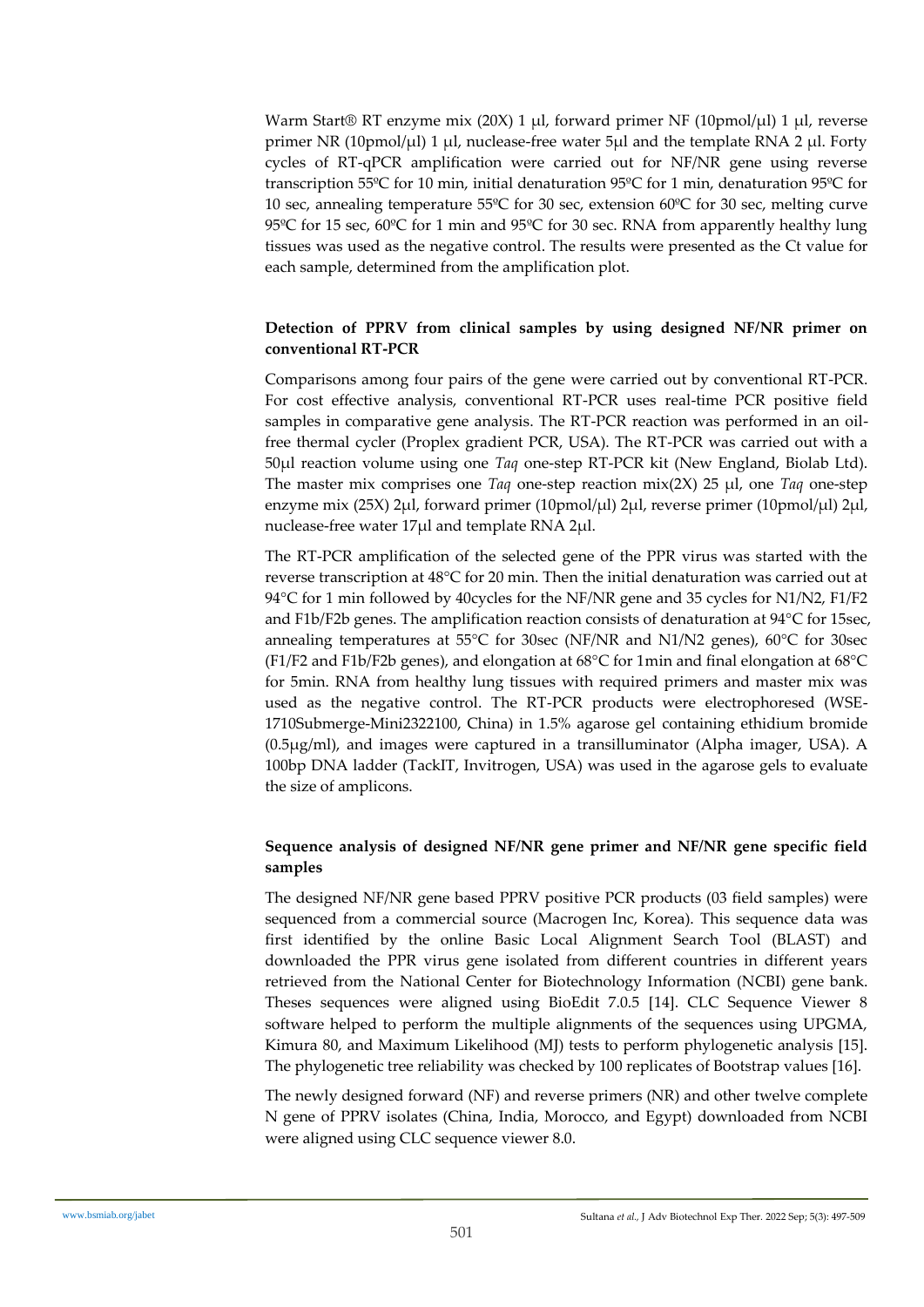Warm Start® RT enzyme mix (20X) 1  $\mu$ l, forward primer NF (10pmol/ $\mu$ l) 1  $\mu$ l, reverse primer NR (10pmol/ $\mu$ l) 1  $\mu$ l, nuclease-free water 5 $\mu$ l and the template RNA 2  $\mu$ l. Forty cycles of RT-qPCR amplification were carried out for NF/NR gene using reverse transcription 55ºC for 10 min, initial denaturation 95ºC for 1 min, denaturation 95ºC for 10 sec, annealing temperature 55ºC for 30 sec, extension 60ºC for 30 sec, melting curve 95ºC for 15 sec, 60ºC for 1 min and 95ºC for 30 sec. RNA from apparently healthy lung tissues was used as the negative control. The results were presented as the Ct value for each sample, determined from the amplification plot.

# **Detection of PPRV from clinical samples by using designed NF/NR primer on conventional RT-PCR**

Comparisons among four pairs of the gene were carried out by conventional RT-PCR. For cost effective analysis, conventional RT-PCR uses real-time PCR positive field samples in comparative gene analysis. The RT-PCR reaction was performed in an oilfree thermal cycler (Proplex gradient PCR, USA). The RT-PCR was carried out with a 50µl reaction volume using one *Taq* one-step RT-PCR kit (New England, Biolab Ltd). The master mix comprises one *Taq* one-step reaction mix(2X) 25 µl, one *Taq* one-step enzyme mix (25X) 2µl, forward primer (10pmol/µl) 2µl, reverse primer (10pmol/µl) 2µl, nuclease-free water 17µl and template RNA 2µl.

The RT-PCR amplification of the selected gene of the PPR virus was started with the reverse transcription at 48°C for 20 min. Then the initial denaturation was carried out at 94°C for 1 min followed by 40cycles for the NF/NR gene and 35 cycles for N1/N2, F1/F2 and F1b/F2b genes. The amplification reaction consists of denaturation at 94°C for 15sec, annealing temperatures at 55°C for 30sec (NF/NR and N1/N2 genes), 60°C for 30sec (F1/F2 and F1b/F2b genes), and elongation at 68°C for 1min and final elongation at 68°C for 5min. RNA from healthy lung tissues with required primers and master mix was used as the negative control. The RT-PCR products were electrophoresed (WSE-1710Submerge-Mini2322100, China) in 1.5% agarose gel containing ethidium bromide (0.5μg/ml), and images were captured in a transilluminator (Alpha imager, USA). A 100bp DNA ladder (TackIT, Invitrogen, USA) was used in the agarose gels to evaluate the size of amplicons.

# **Sequence analysis of designed NF/NR gene primer and NF/NR gene specific field samples**

The designed NF/NR gene based PPRV positive PCR products (03 field samples) were sequenced from a commercial source (Macrogen Inc, Korea). This sequence data was first identified by the online Basic Local Alignment Search Tool (BLAST) and downloaded the PPR virus gene isolated from different countries in different years retrieved from the National Center for Biotechnology Information (NCBI) gene bank. Theses sequences were aligned using BioEdit 7.0.5 [14]. CLC Sequence Viewer 8 software helped to perform the multiple alignments of the sequences using UPGMA, Kimura 80, and Maximum Likelihood (MJ) tests to perform phylogenetic analysis [15]. The phylogenetic tree reliability was checked by 100 replicates of Bootstrap values [16].

The newly designed forward (NF) and reverse primers (NR) and other twelve complete N gene of PPRV isolates (China, India, Morocco, and Egypt) downloaded from NCBI were aligned using CLC sequence viewer 8.0.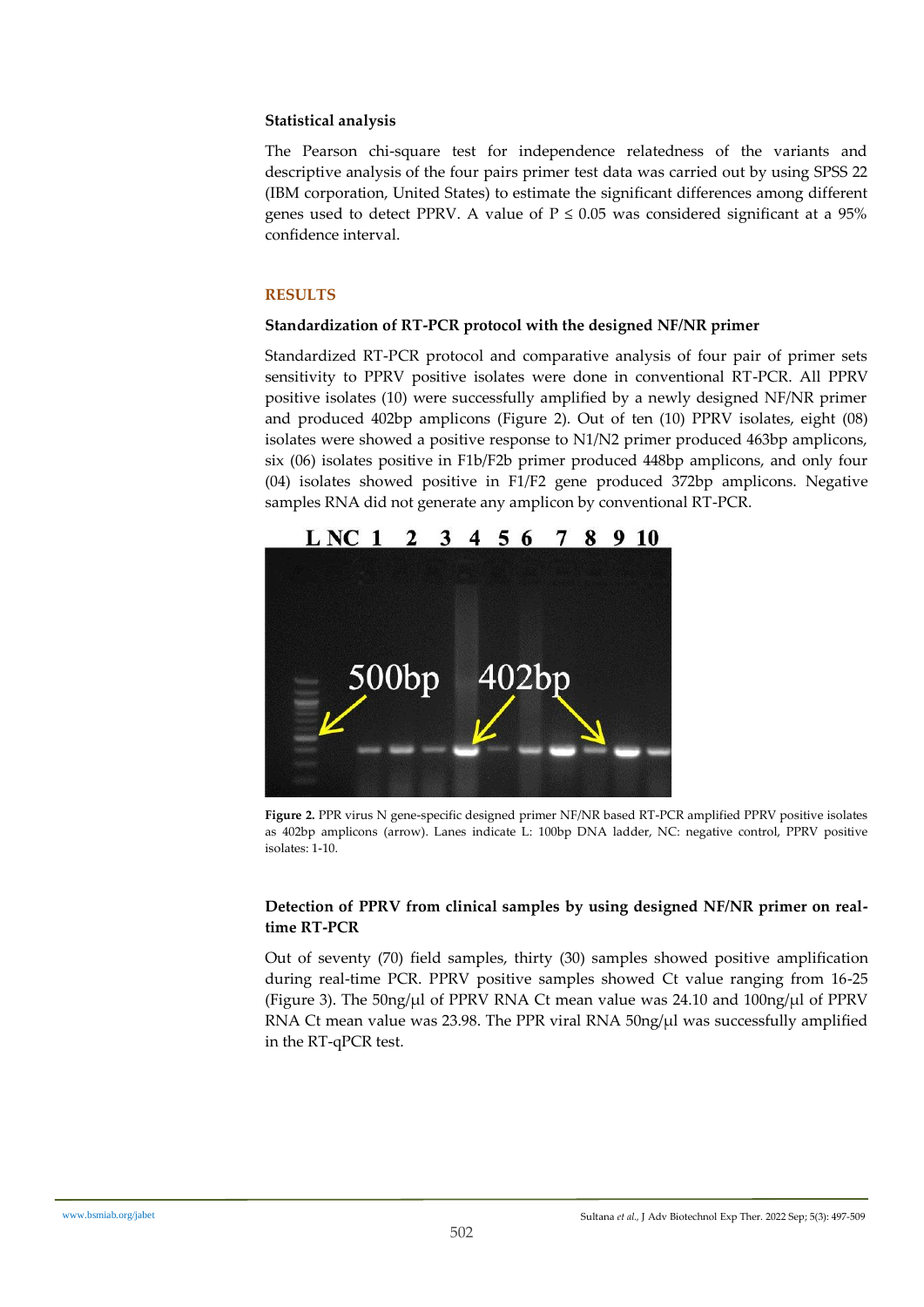# **Statistical analysis**

The Pearson chi-square test for independence relatedness of the variants and descriptive analysis of the four pairs primer test data was carried out by using SPSS 22 (IBM corporation, United States) to estimate the significant differences among different genes used to detect PPRV. A value of  $P \le 0.05$  was considered significant at a 95% confidence interval.

# **RESULTS**

## **Standardization of RT-PCR protocol with the designed NF/NR primer**

Standardized RT-PCR protocol and comparative analysis of four pair of primer sets sensitivity to PPRV positive isolates were done in conventional RT-PCR. All PPRV positive isolates (10) were successfully amplified by a newly designed NF/NR primer and produced 402bp amplicons (Figure 2). Out of ten (10) PPRV isolates, eight (08) isolates were showed a positive response to N1/N2 primer produced 463bp amplicons, six (06) isolates positive in F1b/F2b primer produced 448bp amplicons, and only four (04) isolates showed positive in F1/F2 gene produced 372bp amplicons. Negative samples RNA did not generate any amplicon by conventional RT-PCR.



**Figure 2.** PPR virus N gene-specific designed primer NF/NR based RT-PCR amplified PPRV positive isolates as 402bp amplicons (arrow). Lanes indicate L: 100bp DNA ladder, NC: negative control, PPRV positive isolates: 1-10.

# **Detection of PPRV from clinical samples by using designed NF/NR primer on realtime RT-PCR**

Out of seventy (70) field samples, thirty (30) samples showed positive amplification during real-time PCR. PPRV positive samples showed Ct value ranging from 16-25 (Figure 3). The  $50\frac{ng}{\mu}$  of PPRV RNA Ct mean value was 24.10 and  $100\frac{ng}{\mu}$  of PPRV RNA Ct mean value was 23.98. The PPR viral RNA  $50$ ng/ $\mu$ l was successfully amplified in the RT-qPCR test.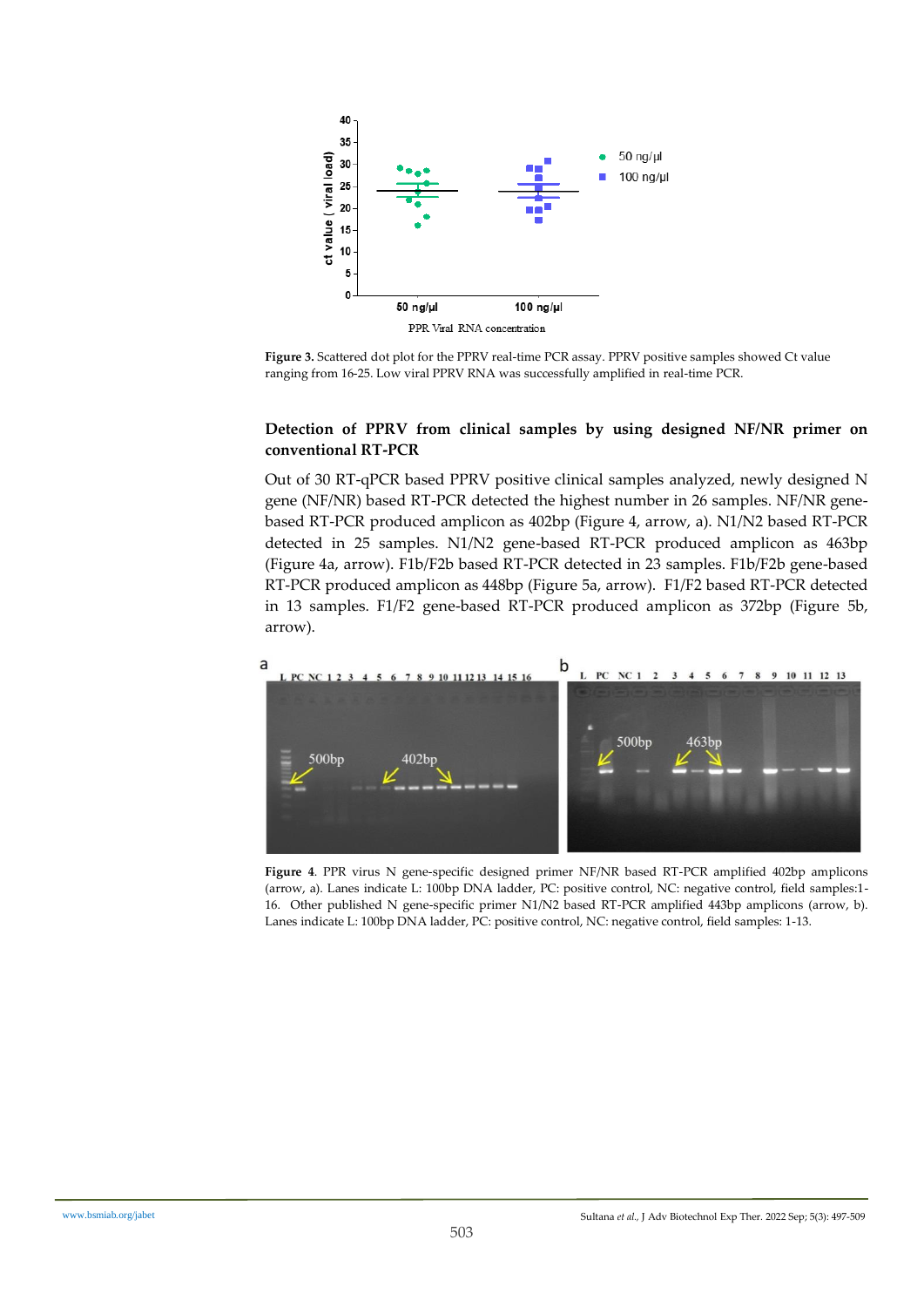

**Figure 3.** Scattered dot plot for the PPRV real-time PCR assay. PPRV positive samples showed Ct value ranging from 16-25. Low viral PPRV RNA was successfully amplified in real-time PCR.

#### **Detection of PPRV from clinical samples by using designed NF/NR primer on conventional RT-PCR**

Out of 30 RT-qPCR based PPRV positive clinical samples analyzed, newly designed N gene (NF/NR) based RT-PCR detected the highest number in 26 samples. NF/NR genebased RT-PCR produced amplicon as 402bp (Figure 4, arrow, a). N1/N2 based RT-PCR detected in 25 samples. N1/N2 gene-based RT-PCR produced amplicon as 463bp (Figure 4a, arrow). F1b/F2b based RT-PCR detected in 23 samples. F1b/F2b gene-based RT-PCR produced amplicon as 448bp (Figure 5a, arrow). F1/F2 based RT-PCR detected in 13 samples. F1/F2 gene-based RT-PCR produced amplicon as 372bp (Figure 5b, arrow).



**Figure 4**. PPR virus N gene-specific designed primer NF/NR based RT-PCR amplified 402bp amplicons (arrow, a). Lanes indicate L: 100bp DNA ladder, PC: positive control, NC: negative control, field samples:1- 16. Other published N gene-specific primer N1/N2 based RT-PCR amplified 443bp amplicons (arrow, b). Lanes indicate L: 100bp DNA ladder, PC: positive control, NC: negative control, field samples: 1-13.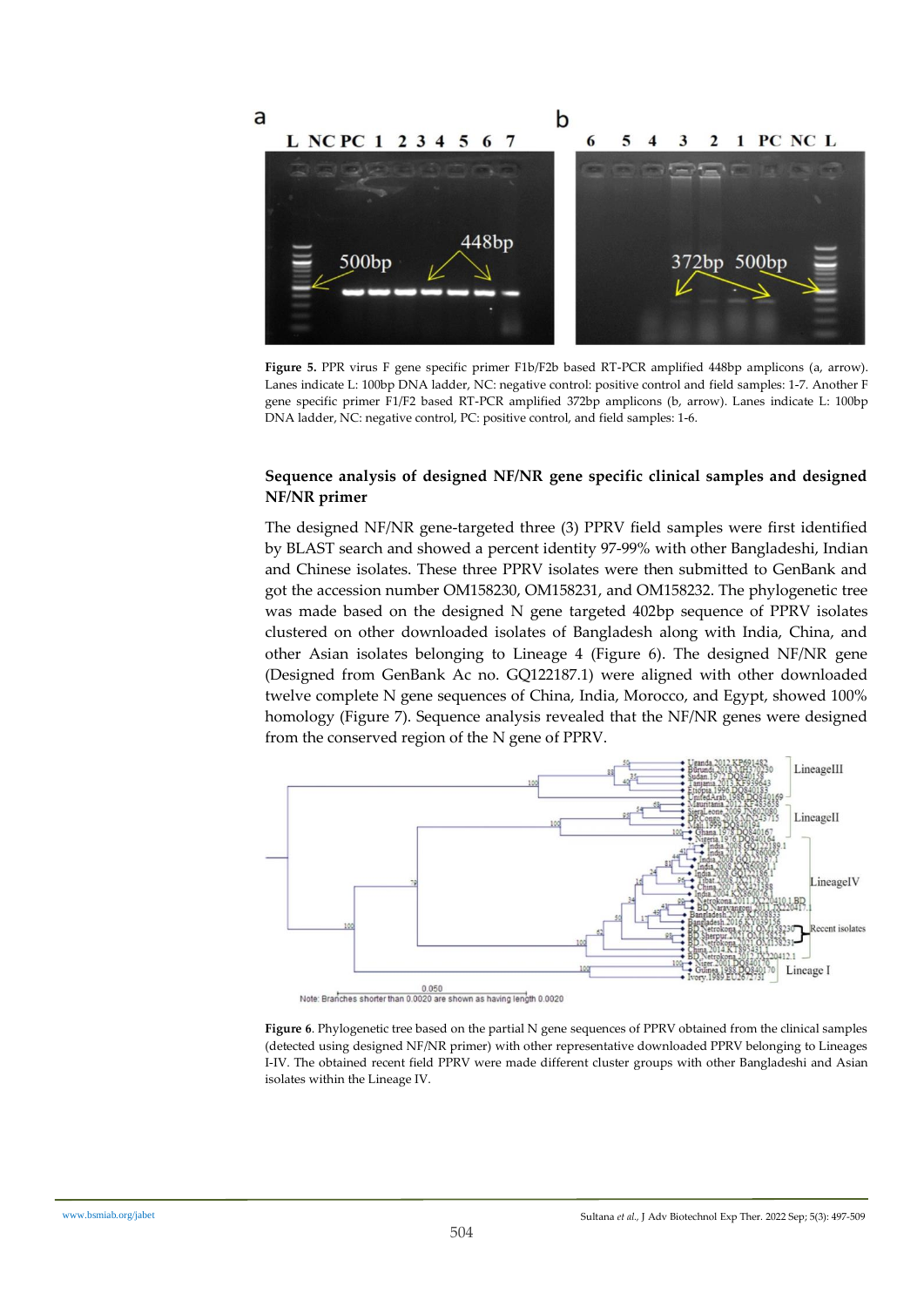

**Figure 5.** PPR virus F gene specific primer F1b/F2b based RT-PCR amplified 448bp amplicons (a, arrow). Lanes indicate L: 100bp DNA ladder, NC: negative control: positive control and field samples: 1-7. Another F gene specific primer F1/F2 based RT-PCR amplified 372bp amplicons (b, arrow). Lanes indicate L: 100bp DNA ladder, NC: negative control, PC: positive control, and field samples: 1-6.

#### **Sequence analysis of designed NF/NR gene specific clinical samples and designed NF/NR primer**

The designed NF/NR gene-targeted three (3) PPRV field samples were first identified by BLAST search and showed a percent identity 97-99% with other Bangladeshi, Indian and Chinese isolates. These three PPRV isolates were then submitted to GenBank and got the accession number OM158230, OM158231, and OM158232. The phylogenetic tree was made based on the designed N gene targeted 402bp sequence of PPRV isolates clustered on other downloaded isolates of Bangladesh along with India, China, and other Asian isolates belonging to Lineage 4 (Figure 6). The designed NF/NR gene (Designed from GenBank Ac no. GQ122187.1) were aligned with other downloaded twelve complete N gene sequences of China, India, Morocco, and Egypt, showed 100% homology (Figure 7). Sequence analysis revealed that the NF/NR genes were designed from the conserved region of the N gene of PPRV.



0.050<br>Note: Branches shorter than 0.0020 are shown as having length 0.0020

**Figure 6**. Phylogenetic tree based on the partial N gene sequences of PPRV obtained from the clinical samples (detected using designed NF/NR primer) with other representative downloaded PPRV belonging to Lineages I-IV. The obtained recent field PPRV were made different cluster groups with other Bangladeshi and Asian isolates within the Lineage IV.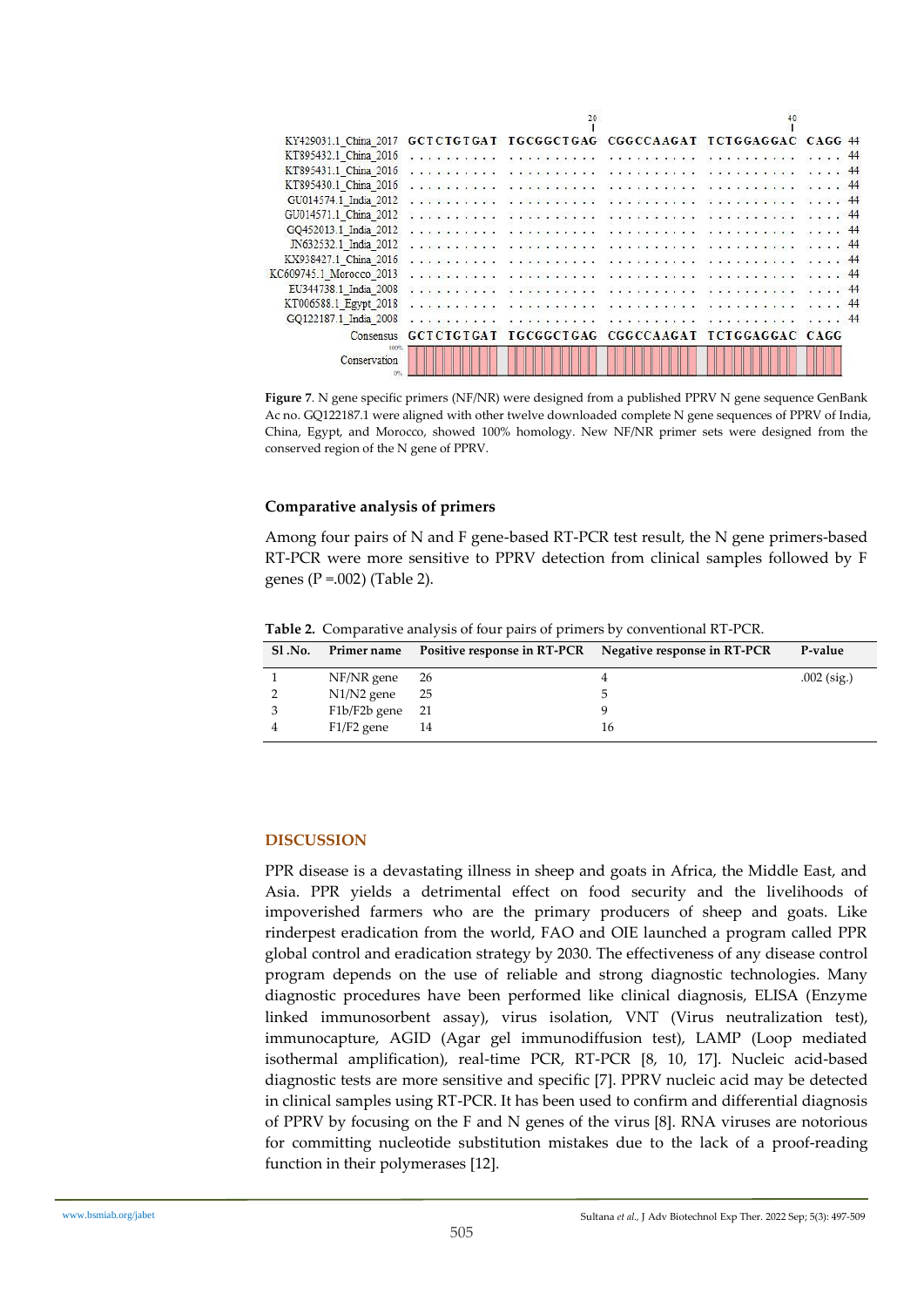|                         |                      | 20                                                |                                                                                                                                                                                                                                                                                                                                                                                                                                      |                                                         |    |
|-------------------------|----------------------|---------------------------------------------------|--------------------------------------------------------------------------------------------------------------------------------------------------------------------------------------------------------------------------------------------------------------------------------------------------------------------------------------------------------------------------------------------------------------------------------------|---------------------------------------------------------|----|
| KY429031.1 China 2017   |                      |                                                   |                                                                                                                                                                                                                                                                                                                                                                                                                                      | GCTCTGTGAT TGCGGCTGAG CGGCCAAGAT TCTGGAGGAC CAGG 44     |    |
| KT895432.1 China 2016   |                      | <b>ACCOUNTANT</b>                                 | $\label{eq:1.1} \begin{array}{ll} \mathbb{E}[\mathbf{z}]=\mathbf{z}^{\top}_{1}\mathbf{z}^{\top}\mathbf{z}^{\top}=\mathbf{z}^{\top}_{1}\mathbf{z}^{\top}_{2}\mathbf{z}^{\top}_{3}\mathbf{z}^{\top}\mathbf{z}^{\top}\mathbf{z}^{\top}_{1}\mathbf{z}^{\top}_{2}\mathbf{z}^{\top}_{3}\mathbf{z}^{\top}_{3}\mathbf{z}^{\top}_{4}\mathbf{z}^{\top}_{5}\mathbf{z}^{\top}_{5}\mathbf{z}^{\top}_{6}\mathbf{z}^{\top}_{7}\mathbf{z}^{\top}_{8$ |                                                         | 44 |
| KT895431.1 China 2016   |                      |                                                   | a change and and the community of the                                                                                                                                                                                                                                                                                                                                                                                                | to any providence of                                    | 44 |
| KT895430.1 China 2016   |                      | of processing and a result of the processing of a |                                                                                                                                                                                                                                                                                                                                                                                                                                      | no ente enterromissionente.                             |    |
| GU014574.1 India 2012   |                      |                                                   |                                                                                                                                                                                                                                                                                                                                                                                                                                      |                                                         |    |
| GU014571.1 China 2012   | .                    |                                                   |                                                                                                                                                                                                                                                                                                                                                                                                                                      |                                                         |    |
| GQ452013.1 India 2012   |                      |                                                   |                                                                                                                                                                                                                                                                                                                                                                                                                                      |                                                         |    |
| JN632532.1 India 2012   |                      |                                                   |                                                                                                                                                                                                                                                                                                                                                                                                                                      |                                                         |    |
| KX938427.1 China 2016   |                      |                                                   |                                                                                                                                                                                                                                                                                                                                                                                                                                      |                                                         |    |
| KC609745.1 Morocco 2013 |                      |                                                   |                                                                                                                                                                                                                                                                                                                                                                                                                                      |                                                         |    |
| EU344738.1 India 2008   |                      | . <b>.</b>                                        | . <b>.</b>                                                                                                                                                                                                                                                                                                                                                                                                                           | . <i>.</i>                                              |    |
| KT006588.1_Egypt_2018   |                      |                                                   |                                                                                                                                                                                                                                                                                                                                                                                                                                      | a construction and the concentration of an exchange and | 44 |
| GQ122187.1 India 2008   |                      |                                                   |                                                                                                                                                                                                                                                                                                                                                                                                                                      |                                                         | 44 |
|                         | Consensus GCTCTGTGAT |                                                   |                                                                                                                                                                                                                                                                                                                                                                                                                                      | IGCGGCIGAG CGGCCAAGAI ICIGGAGGAC CAGG                   |    |
| Conservation            |                      |                                                   |                                                                                                                                                                                                                                                                                                                                                                                                                                      |                                                         |    |

**Figure 7**. N gene specific primers (NF/NR) were designed from a published PPRV N gene sequence GenBank Ac no. GQ122187.1 were aligned with other twelve downloaded complete N gene sequences of PPRV of India, China, Egypt, and Morocco, showed 100% homology. New NF/NR primer sets were designed from the conserved region of the N gene of PPRV.

#### **Comparative analysis of primers**

Among four pairs of N and F gene-based RT-PCR test result, the N gene primers-based RT-PCR were more sensitive to PPRV detection from clinical samples followed by F genes ( $P = .002$ ) (Table 2).

| <b>S1.No.</b> |                   |    | Primer name Positive response in RT-PCR Negative response in RT-PCR | P-value       |
|---------------|-------------------|----|---------------------------------------------------------------------|---------------|
|               | $NF/NR$ gene 26   |    |                                                                     | $.002$ (sig.) |
|               | $N1/N2$ gene      | 25 |                                                                     |               |
|               | $F1b/F2b$ gene 21 |    |                                                                     |               |
|               | $F1/F2$ gene      | 14 | 16                                                                  |               |

**Table 2.** Comparative analysis of four pairs of primers by conventional RT-PCR.

## **DISCUSSION**

PPR disease is a devastating illness in sheep and goats in Africa, the Middle East, and Asia. PPR yields a detrimental effect on food security and the livelihoods of impoverished farmers who are the primary producers of sheep and goats. Like rinderpest eradication from the world, FAO and OIE launched a program called PPR global control and eradication strategy by 2030. The effectiveness of any disease control program depends on the use of reliable and strong diagnostic technologies. Many diagnostic procedures have been performed like clinical diagnosis, ELISA (Enzyme linked immunosorbent assay), virus isolation, VNT (Virus neutralization test), immunocapture, AGID (Agar gel immunodiffusion test), LAMP (Loop mediated isothermal amplification), real-time PCR, RT-PCR [8, 10, 17]. Nucleic acid-based diagnostic tests are more sensitive and specific [7]. PPRV nucleic acid may be detected in clinical samples using RT-PCR. It has been used to confirm and differential diagnosis of PPRV by focusing on the F and N genes of the virus [8]. RNA viruses are notorious for committing nucleotide substitution mistakes due to the lack of a proof-reading function in their polymerases [12].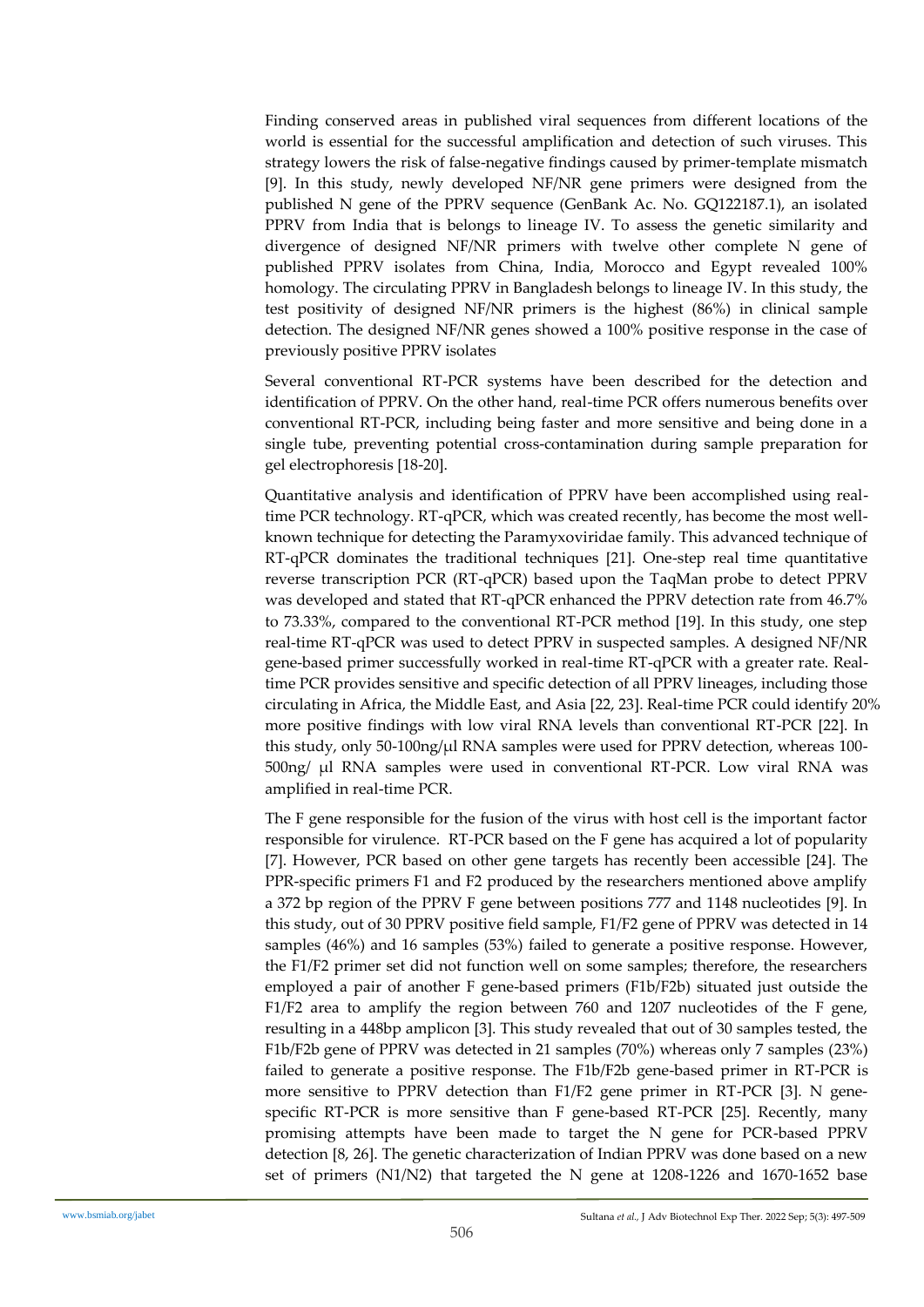Finding conserved areas in published viral sequences from different locations of the world is essential for the successful amplification and detection of such viruses. This strategy lowers the risk of false-negative findings caused by primer-template mismatch [9]. In this study, newly developed NF/NR gene primers were designed from the published N gene of the PPRV sequence (GenBank Ac. No. GQ122187.1), an isolated PPRV from India that is belongs to lineage IV. To assess the genetic similarity and divergence of designed NF/NR primers with twelve other complete N gene of published PPRV isolates from China, India, Morocco and Egypt revealed 100% homology. The circulating PPRV in Bangladesh belongs to lineage IV. In this study, the test positivity of designed NF/NR primers is the highest (86%) in clinical sample detection. The designed NF/NR genes showed a 100% positive response in the case of previously positive PPRV isolates

Several conventional RT-PCR systems have been described for the detection and identification of PPRV. On the other hand, real-time PCR offers numerous benefits over conventional RT-PCR, including being faster and more sensitive and being done in a single tube, preventing potential cross-contamination during sample preparation for gel electrophoresis [18-20].

Quantitative analysis and identification of PPRV have been accomplished using realtime PCR technology. RT-qPCR, which was created recently, has become the most wellknown technique for detecting the Paramyxoviridae family. This advanced technique of RT-qPCR dominates the traditional techniques [21]. One-step real time quantitative reverse transcription PCR (RT-qPCR) based upon the TaqMan probe to detect PPRV was developed and stated that RT-qPCR enhanced the PPRV detection rate from 46.7% to 73.33%, compared to the conventional RT-PCR method [19]. In this study, one step real-time RT-qPCR was used to detect PPRV in suspected samples. A designed NF/NR gene-based primer successfully worked in real-time RT-qPCR with a greater rate. Realtime PCR provides sensitive and specific detection of all PPRV lineages, including those circulating in Africa, the Middle East, and Asia [22, 23]. Real-time PCR could identify 20% more positive findings with low viral RNA levels than conventional RT-PCR [22]. In this study, only 50-100ng/ $\mu$ l RNA samples were used for PPRV detection, whereas 100-500ng/ µl RNA samples were used in conventional RT-PCR. Low viral RNA was amplified in real-time PCR.

The F gene responsible for the fusion of the virus with host cell is the important factor responsible for virulence. RT-PCR based on the F gene has acquired a lot of popularity [7]. However, PCR based on other gene targets has recently been accessible [24]. The PPR-specific primers F1 and F2 produced by the researchers mentioned above amplify a 372 bp region of the PPRV F gene between positions 777 and 1148 nucleotides [9]. In this study, out of 30 PPRV positive field sample, F1/F2 gene of PPRV was detected in 14 samples (46%) and 16 samples (53%) failed to generate a positive response. However, the F1/F2 primer set did not function well on some samples; therefore, the researchers employed a pair of another F gene-based primers (F1b/F2b) situated just outside the F1/F2 area to amplify the region between 760 and 1207 nucleotides of the F gene, resulting in a 448bp amplicon [3]. This study revealed that out of 30 samples tested, the F1b/F2b gene of PPRV was detected in 21 samples (70%) whereas only 7 samples (23%) failed to generate a positive response. The F1b/F2b gene-based primer in RT-PCR is more sensitive to PPRV detection than F1/F2 gene primer in RT-PCR [3]. N genespecific RT-PCR is more sensitive than F gene-based RT-PCR [25]. Recently, many promising attempts have been made to target the N gene for PCR-based PPRV detection [8, 26]. The genetic characterization of Indian PPRV was done based on a new set of primers (N1/N2) that targeted the N gene at 1208-1226 and 1670-1652 base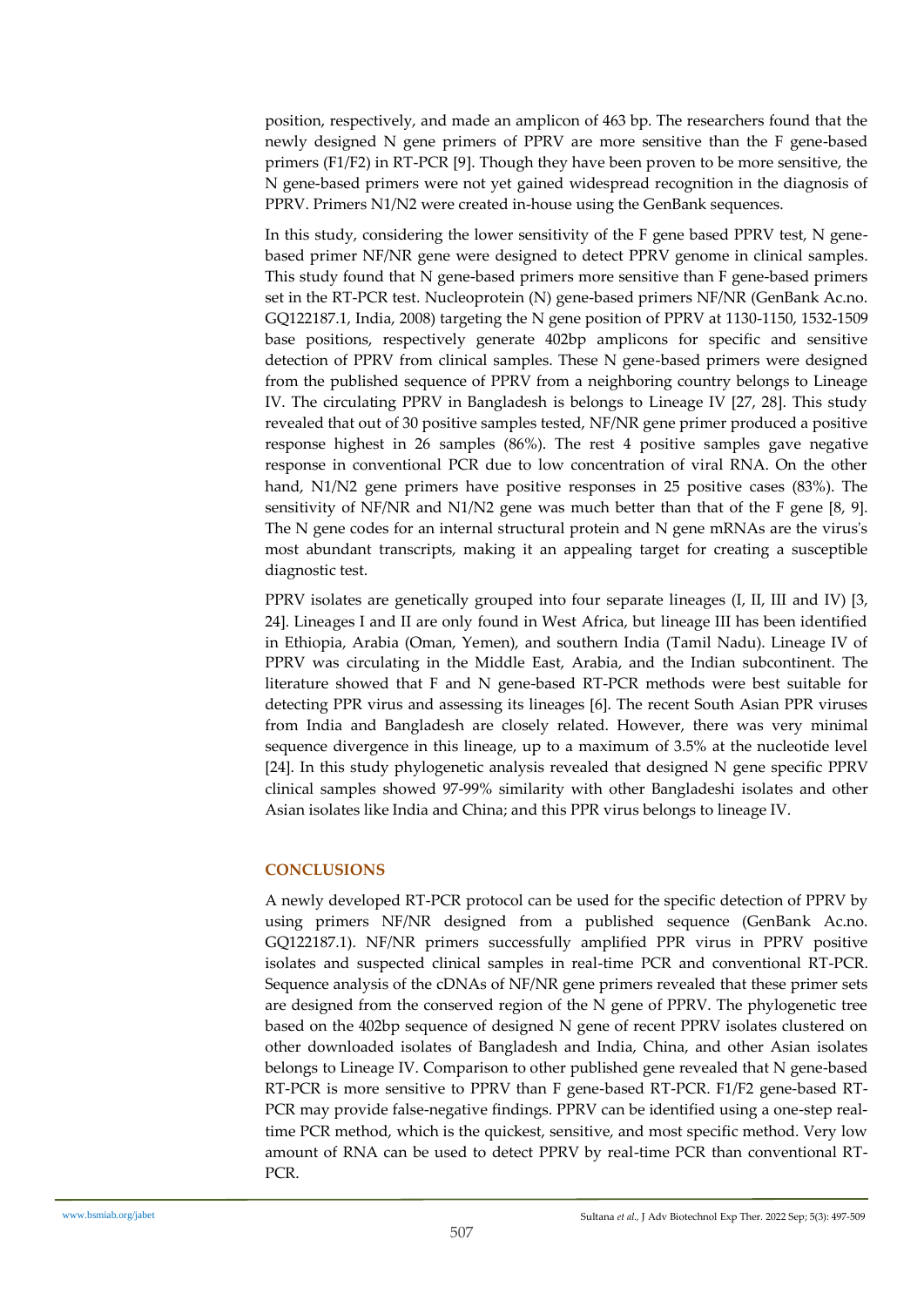position, respectively, and made an amplicon of 463 bp. The researchers found that the newly designed N gene primers of PPRV are more sensitive than the F gene-based primers (F1/F2) in RT-PCR [9]. Though they have been proven to be more sensitive, the N gene-based primers were not yet gained widespread recognition in the diagnosis of PPRV. Primers N1/N2 were created in-house using the GenBank sequences.

In this study, considering the lower sensitivity of the F gene based PPRV test, N genebased primer NF/NR gene were designed to detect PPRV genome in clinical samples. This study found that N gene-based primers more sensitive than F gene-based primers set in the RT-PCR test. Nucleoprotein (N) gene-based primers NF/NR (GenBank Ac.no. GQ122187.1, India, 2008) targeting the N gene position of PPRV at 1130-1150, 1532-1509 base positions, respectively generate 402bp amplicons for specific and sensitive detection of PPRV from clinical samples. These N gene-based primers were designed from the published sequence of PPRV from a neighboring country belongs to Lineage IV. The circulating PPRV in Bangladesh is belongs to Lineage IV [27, 28]. This study revealed that out of 30 positive samples tested, NF/NR gene primer produced a positive response highest in 26 samples (86%). The rest 4 positive samples gave negative response in conventional PCR due to low concentration of viral RNA. On the other hand, N1/N2 gene primers have positive responses in 25 positive cases (83%). The sensitivity of NF/NR and N1/N2 gene was much better than that of the F gene [8, 9]. The N gene codes for an internal structural protein and N gene mRNAs are the virus's most abundant transcripts, making it an appealing target for creating a susceptible diagnostic test.

PPRV isolates are genetically grouped into four separate lineages (I, II, III and IV) [3, 24]. Lineages I and II are only found in West Africa, but lineage III has been identified in Ethiopia, Arabia (Oman, Yemen), and southern India (Tamil Nadu). Lineage IV of PPRV was circulating in the Middle East, Arabia, and the Indian subcontinent. The literature showed that F and N gene-based RT-PCR methods were best suitable for detecting PPR virus and assessing its lineages [6]. The recent South Asian PPR viruses from India and Bangladesh are closely related. However, there was very minimal sequence divergence in this lineage, up to a maximum of 3.5% at the nucleotide level [24]. In this study phylogenetic analysis revealed that designed N gene specific PPRV clinical samples showed 97-99% similarity with other Bangladeshi isolates and other Asian isolates like India and China; and this PPR virus belongs to lineage IV.

## **CONCLUSIONS**

A newly developed RT-PCR protocol can be used for the specific detection of PPRV by using primers NF/NR designed from a published sequence (GenBank Ac.no. GQ122187.1). NF/NR primers successfully amplified PPR virus in PPRV positive isolates and suspected clinical samples in real-time PCR and conventional RT-PCR. Sequence analysis of the cDNAs of NF/NR gene primers revealed that these primer sets are designed from the conserved region of the N gene of PPRV. The phylogenetic tree based on the 402bp sequence of designed N gene of recent PPRV isolates clustered on other downloaded isolates of Bangladesh and India, China, and other Asian isolates belongs to Lineage IV. Comparison to other published gene revealed that N gene-based RT-PCR is more sensitive to PPRV than F gene-based RT-PCR. F1/F2 gene-based RT-PCR may provide false-negative findings. PPRV can be identified using a one-step realtime PCR method, which is the quickest, sensitive, and most specific method. Very low amount of RNA can be used to detect PPRV by real-time PCR than conventional RT-PCR.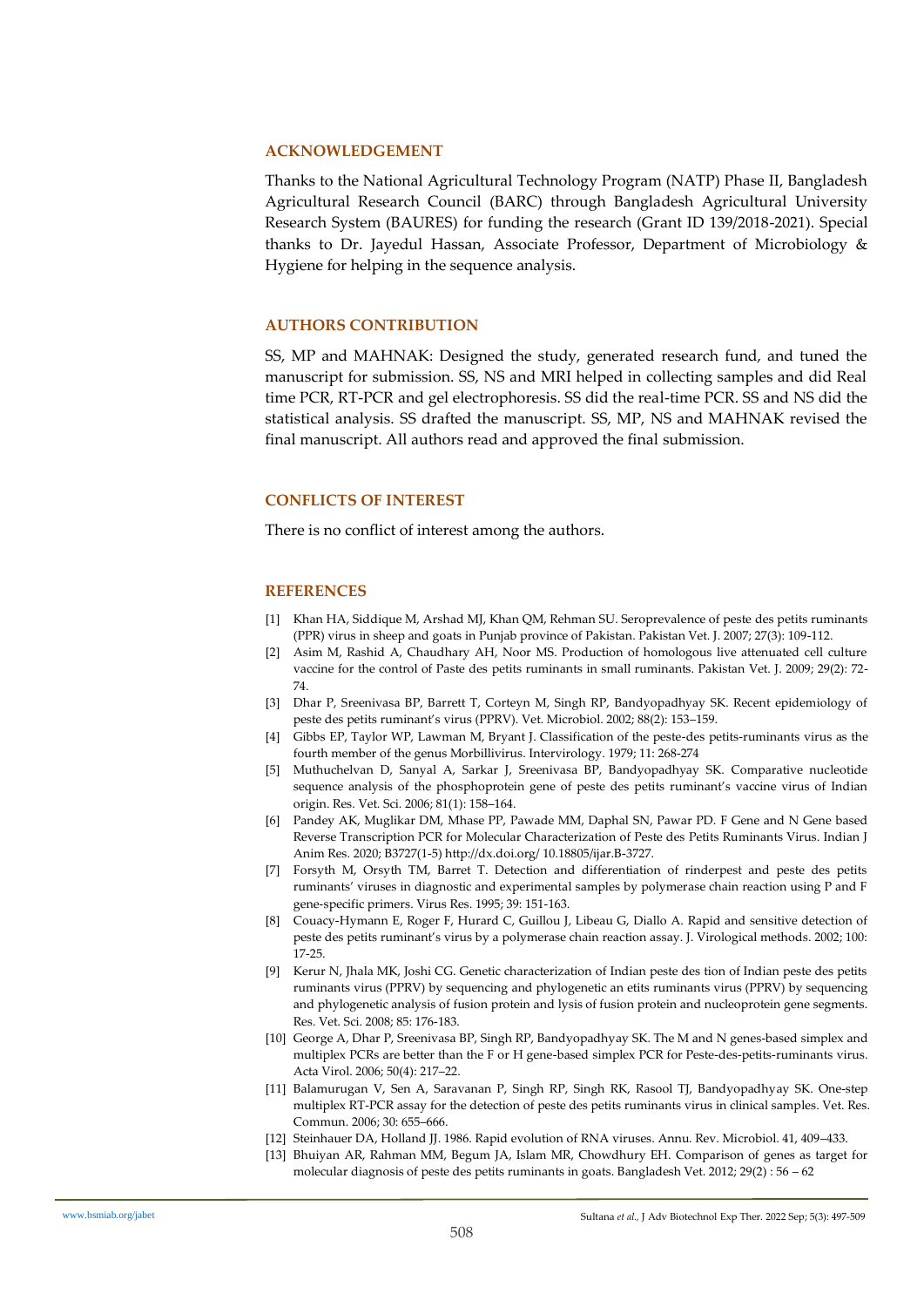#### **ACKNOWLEDGEMENT**

Thanks to the National Agricultural Technology Program (NATP) Phase II, Bangladesh Agricultural Research Council (BARC) through Bangladesh Agricultural University Research System (BAURES) for funding the research (Grant ID 139/2018-2021). Special thanks to Dr. Jayedul Hassan, Associate Professor, Department of Microbiology & Hygiene for helping in the sequence analysis.

#### **AUTHORS CONTRIBUTION**

SS, MP and MAHNAK: Designed the study, generated research fund, and tuned the manuscript for submission. SS, NS and MRI helped in collecting samples and did Real time PCR, RT-PCR and gel electrophoresis. SS did the real-time PCR. SS and NS did the statistical analysis. SS drafted the manuscript. SS, MP, NS and MAHNAK revised the final manuscript. All authors read and approved the final submission.

#### **CONFLICTS OF INTEREST**

There is no conflict of interest among the authors.

#### **REFERENCES**

- [1] Khan HA, Siddique M, Arshad MJ, Khan QM, Rehman SU. Seroprevalence of peste des petits ruminants (PPR) virus in sheep and goats in Punjab province of Pakistan. Pakistan Vet. J. 2007; 27(3): 109-112.
- [2] Asim M, Rashid A, Chaudhary AH, Noor MS. Production of homologous live attenuated cell culture vaccine for the control of Paste des petits ruminants in small ruminants. Pakistan Vet. J. 2009; 29(2): 72- 74.
- [3] Dhar P, Sreenivasa BP, Barrett T, Corteyn M, Singh RP, Bandyopadhyay SK. Recent epidemiology of peste des petits ruminant's virus (PPRV). Vet. Microbiol. 2002; 88(2): 153–159.
- [4] Gibbs EP, Taylor WP, Lawman M, Bryant J. Classification of the peste-des petits-ruminants virus as the fourth member of the genus Morbillivirus. Intervirology. 1979; 11: 268-274
- [5] Muthuchelvan D, Sanyal A, Sarkar J, Sreenivasa BP, Bandyopadhyay SK. Comparative nucleotide sequence analysis of the phosphoprotein gene of peste des petits ruminant's vaccine virus of Indian origin. Res. Vet. Sci. 2006; 81(1): 158–164.
- [6] Pandey AK, Muglikar DM, Mhase PP, Pawade MM, Daphal SN, Pawar PD. F Gene and N Gene based Reverse Transcription PCR for Molecular Characterization of Peste des Petits Ruminants Virus. Indian J Anim Res. 2020; B3727(1-5) http://dx.doi.org/ 10.18805/ijar.B-3727.
- [7] Forsyth M, Orsyth TM, Barret T. Detection and differentiation of rinderpest and peste des petits ruminants' viruses in diagnostic and experimental samples by polymerase chain reaction using P and F gene-specific primers. Virus Res. 1995; 39: 151-163.
- [8] Couacy-Hymann E, Roger F, Hurard C, Guillou J, Libeau G, Diallo A. Rapid and sensitive detection of peste des petits ruminant's virus by a polymerase chain reaction assay. J. Virological methods. 2002; 100: 17-25.
- [9] Kerur N, Jhala MK, Joshi CG. Genetic characterization of Indian peste des tion of Indian peste des petits ruminants virus (PPRV) by sequencing and phylogenetic an etits ruminants virus (PPRV) by sequencing and phylogenetic analysis of fusion protein and lysis of fusion protein and nucleoprotein gene segments. Res. Vet. Sci. 2008; 85: 176-183.
- [10] George A, Dhar P, Sreenivasa BP, Singh RP, Bandyopadhyay SK. The M and N genes-based simplex and multiplex PCRs are better than the F or H gene-based simplex PCR for Peste-des-petits-ruminants virus. Acta Virol. 2006; 50(4): 217–22.
- [11] Balamurugan V, Sen A, Saravanan P, Singh RP, Singh RK, Rasool TJ, Bandyopadhyay SK. One-step multiplex RT-PCR assay for the detection of peste des petits ruminants virus in clinical samples. Vet. Res. Commun. 2006; 30: 655–666.
- [12] Steinhauer DA, Holland JJ. 1986. Rapid evolution of RNA viruses. Annu. Rev. Microbiol. 41, 409–433.
- [13] Bhuiyan AR, Rahman MM, Begum JA, Islam MR, Chowdhury EH. Comparison of genes as target for molecular diagnosis of peste des petits ruminants in goats. Bangladesh Vet. 2012; 29(2) : 56 – 62